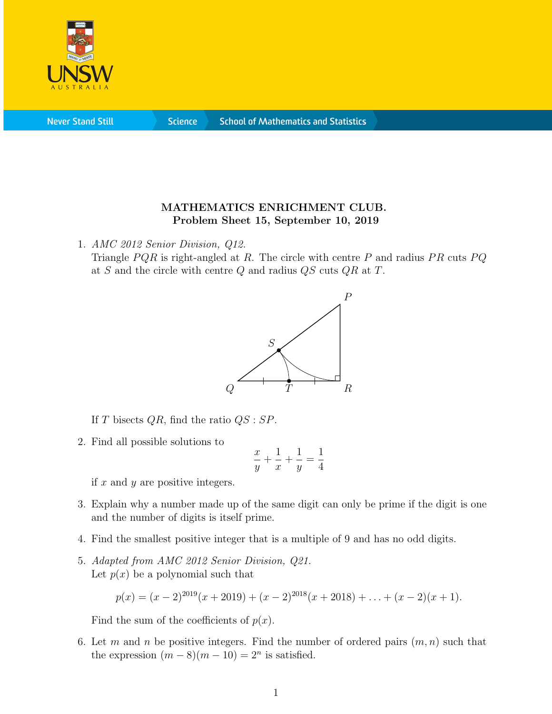

**Never Stand Still** 

**Science** 

## MATHEMATICS ENRICHMENT CLUB. Problem Sheet 15, September 10, 2019

1. AMC 2012 Senior Division, Q12.

Triangle  $PQR$  is right-angled at R. The circle with centre P and radius  $PR$  cuts  $PQ$ at S and the circle with centre  $Q$  and radius  $QS$  cuts  $QR$  at  $T$ .



If T bisects  $QR$ , find the ratio  $QS : SP$ .

2. Find all possible solutions to

$$
\frac{x}{y} + \frac{1}{x} + \frac{1}{y} = \frac{1}{4}
$$

if  $x$  and  $y$  are positive integers.

- 3. Explain why a number made up of the same digit can only be prime if the digit is one and the number of digits is itself prime.
- 4. Find the smallest positive integer that is a multiple of 9 and has no odd digits.
- 5. Adapted from AMC 2012 Senior Division, Q21. Let  $p(x)$  be a polynomial such that

$$
p(x) = (x - 2)^{2019}(x + 2019) + (x - 2)^{2018}(x + 2018) + \ldots + (x - 2)(x + 1).
$$

Find the sum of the coefficients of  $p(x)$ .

6. Let m and n be positive integers. Find the number of ordered pairs  $(m, n)$  such that the expression  $(m-8)(m-10) = 2<sup>n</sup>$  is satisfied.